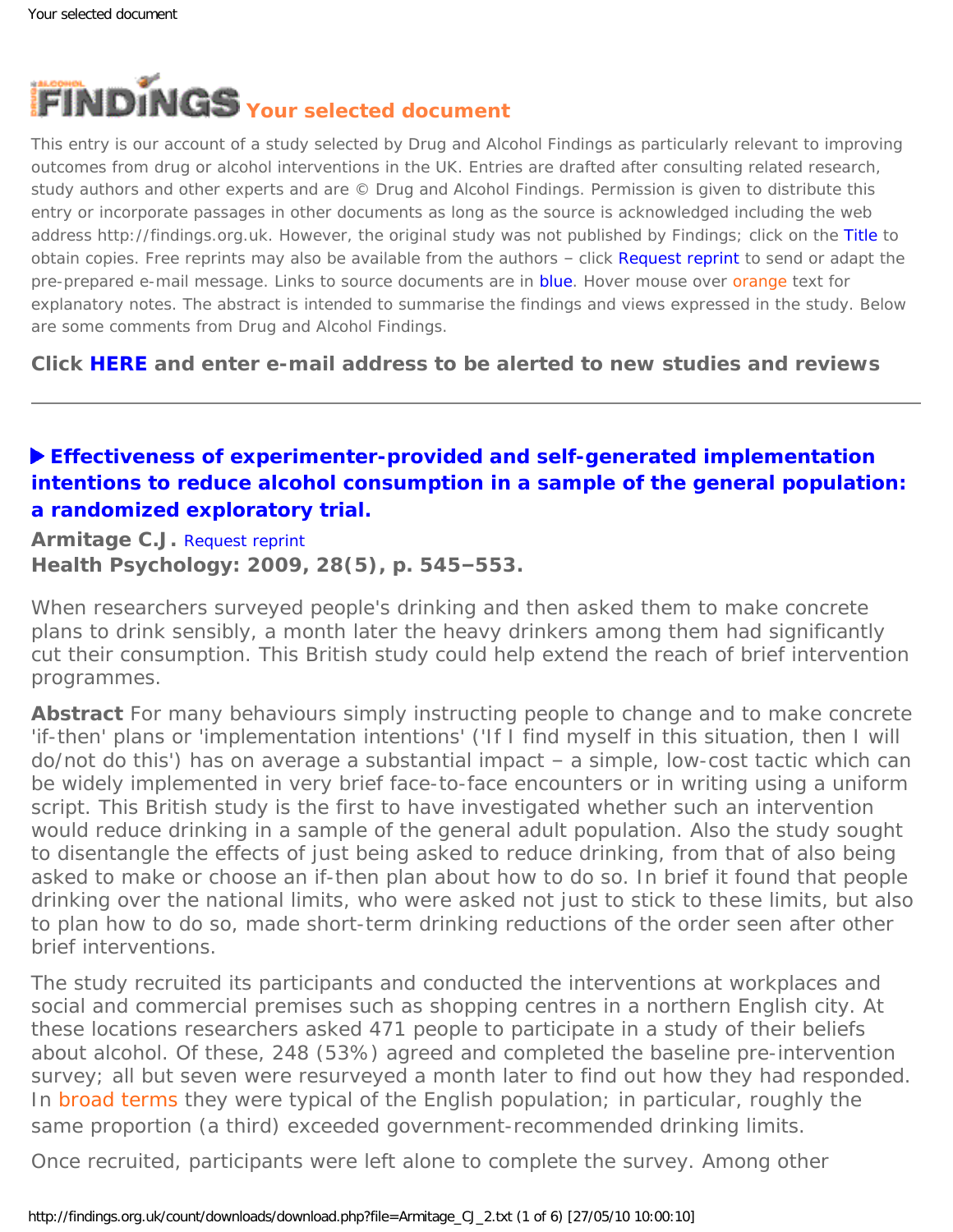<span id="page-0-0"></span>

This entry is our account of a study selected by Drug and Alcohol Findings as particularly relevant to improving outcomes from drug or alcohol interventions in the UK. Entries are drafted after consulting related research, study authors and other experts and are © Drug and Alcohol Findings. Permission is given to distribute this entry or incorporate passages in other documents as long as the source is acknowledged including the web address http://findings.org.uk. However, the original study was not published by Findings; click on the Title to obtain copies. Free reprints may also be available from the authors - click Request reprint to send or adapt the pre-prepared e-mail message. Links to source documents are in blue. Hover mouse over orange text for explanatory notes. The abstract is intended to summarise the findings and views expressed in the study. Below are some comments from Drug and Alcohol Findings.

**Click [HERE](https://findings.org.uk/index.php#signUp) and enter e-mail address to be alerted to new studies and reviews**

# **[Effectiveness of experimenter-provided and self-generated implementation](http://dx.doi.org/10.1037/a0015984)  [intentions to reduce alcohol consumption in a sample of the general population:](http://dx.doi.org/10.1037/a0015984)  [a randomized exploratory trial.](http://dx.doi.org/10.1037/a0015984)**

**Armitage C.J.** [Request reprint](mailto:c.j.armitage@sheffield.ac.uk?Subject=Reprint%20request&body=Dear Dr Armitage%0A%0AOn the Drug and Alcohol Findings web site (https://findings.org.uk) I read about your article:%0AArmitage C.J. Effectiveness of experimenter-provided and self-generated implementation intentions to reduce alcohol consumption in a sample of the general population: a randomized exploratory trial. Health Psychology: 2009, 28(5), p. 545-553.%0A%0AWould it be possible to for me to be sent a PDF reprint or the manuscript by return e-mail?%0A) **Health Psychology: 2009, 28(5), p. 545–553.**

When researchers surveyed people's drinking and then asked them to make concrete plans to drink sensibly, a month later the heavy drinkers among them had significantly cut their consumption. This British study could help extend the reach of brief intervention programmes.

**Abstract** For many behaviours simply instructing people to change and to make concrete 'if-then' plans or 'implementation intentions' ('*If* I find myself in this situation, *then* I will do/not do this') has on average a substantial impact – a simple, low-cost tactic which can be widely implemented in very brief face-to-face encounters or in writing using a uniform script. This British study is the first to have investigated whether such an intervention would reduce drinking in a sample of the general adult population. Also the study sought to disentangle the effects of just being asked to reduce drinking, from that of also being asked to make or choose an if-then plan about how to do so. In brief it found that people drinking over the national limits, who were asked not just to stick to these limits, but also to plan how to do so, made short-term drinking reductions of the order seen after other brief interventions.

The study recruited its participants and conducted the interventions at workplaces and social and commercial premises such as shopping centres in a northern English city. At these locations researchers asked 471 people to participate in a study of their beliefs about alcohol. Of these, 248 (53%) agreed and completed the baseline pre-intervention survey; all but seven were resurveyed a month later to find out how they had responded. In [broad terms](#page-0-0) they were typical of the English population; in particular, roughly the same proportion (a third) exceeded government-recommended drinking limits.

Once recruited, participants were left alone to complete the survey. Among other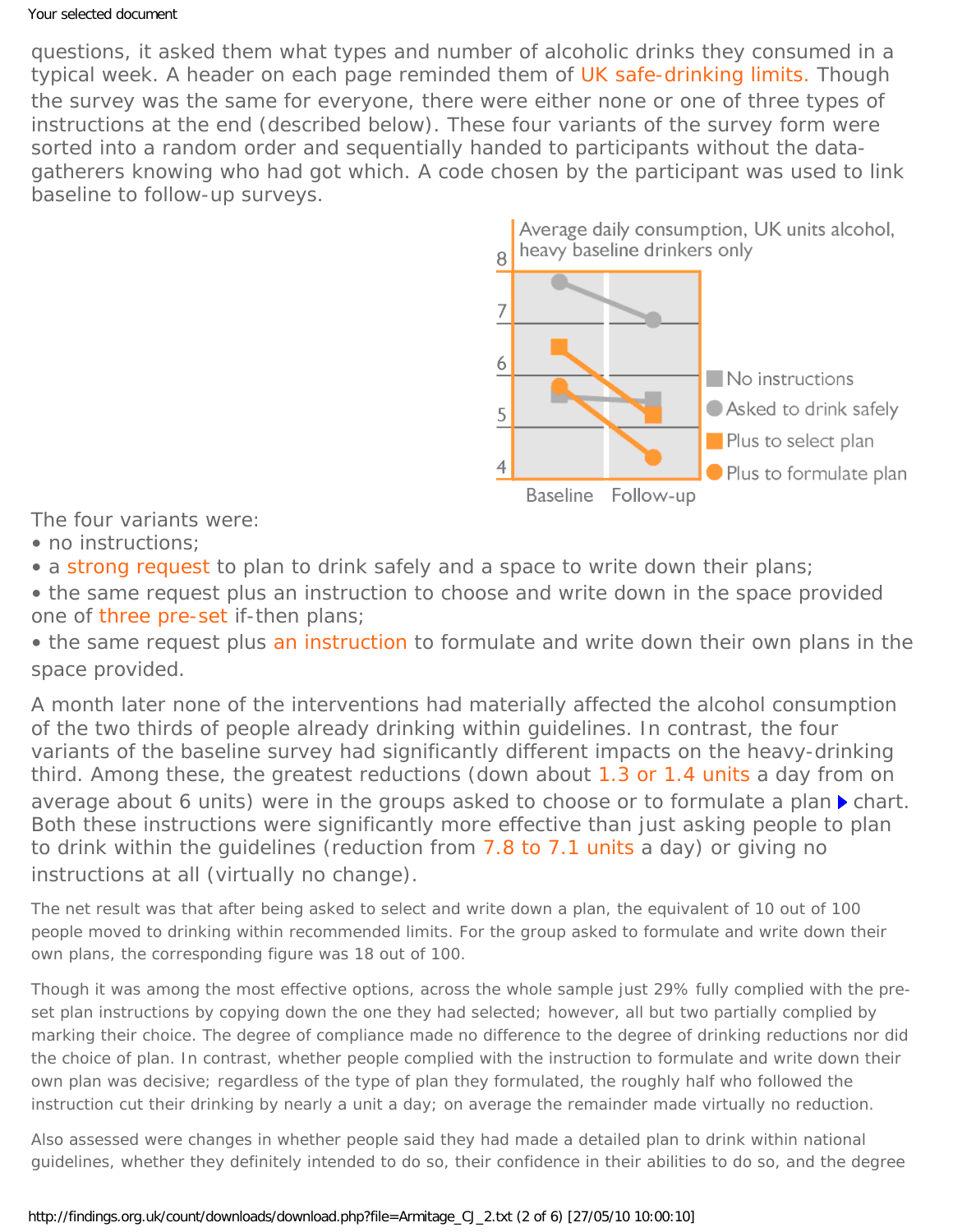questions, it asked them what types and number of alcoholic drinks they consumed in a typical week. A header on each page reminded them of [UK safe-drinking limits.](#page-0-0) Though the survey was the same for everyone, there were either none or one of three types of instructions at the end (described below). These four variants of the survey form were sorted into a random order and sequentially handed to participants without the datagatherers knowing who had got which. A code chosen by the participant was used to link baseline to follow-up surveys.



The four variants were:

• no instructions:

• a [strong request](#page-0-0) to plan to drink safely and a space to write down their plans;

• the same request plus an instruction to choose and write down in the space provided one of [three pre-set](#page-0-0) if-then plans;

• the same request plus [an instruction](#page-0-0) to formulate and write down their own plans in the space provided.

A month later none of the interventions had materially affected the alcohol consumption of the two thirds of people already drinking within guidelines. In contrast, the four variants of the baseline survey had significantly different impacts on the heavy-drinking third. Among these, the greatest reductions (down about [1.3 or 1.4 units](#page-0-0) a day from on average about 6 units) were in the groups asked to choose or to formulate a plan *chart*. Both these instructions were significantly more effective than just asking people to plan to drink within the guidelines (reduction from [7.8 to 7.1 units](#page-0-0) a day) or giving no instructions at all (virtually no change).

The net result was that after being asked to select and write down a plan, the equivalent of 10 out of 100 people moved to drinking within recommended limits. For the group asked to formulate and write down their own plans, the corresponding figure was 18 out of 100.

Though it was among the most effective options, across the whole sample just 29% fully complied with the preset plan instructions by copying down the one they had selected; however, all but two partially complied by marking their choice. The degree of compliance made no difference to the degree of drinking reductions nor did the choice of plan. In contrast, whether people complied with the instruction to formulate and write down their own plan was decisive; regardless of the type of plan they formulated, the roughly half who followed the instruction cut their drinking by nearly a unit a day; on average the remainder made virtually no reduction.

Also assessed were changes in whether people said they had made a detailed plan to drink within national guidelines, whether they definitely intended to do so, their confidence in their abilities to do so, and the degree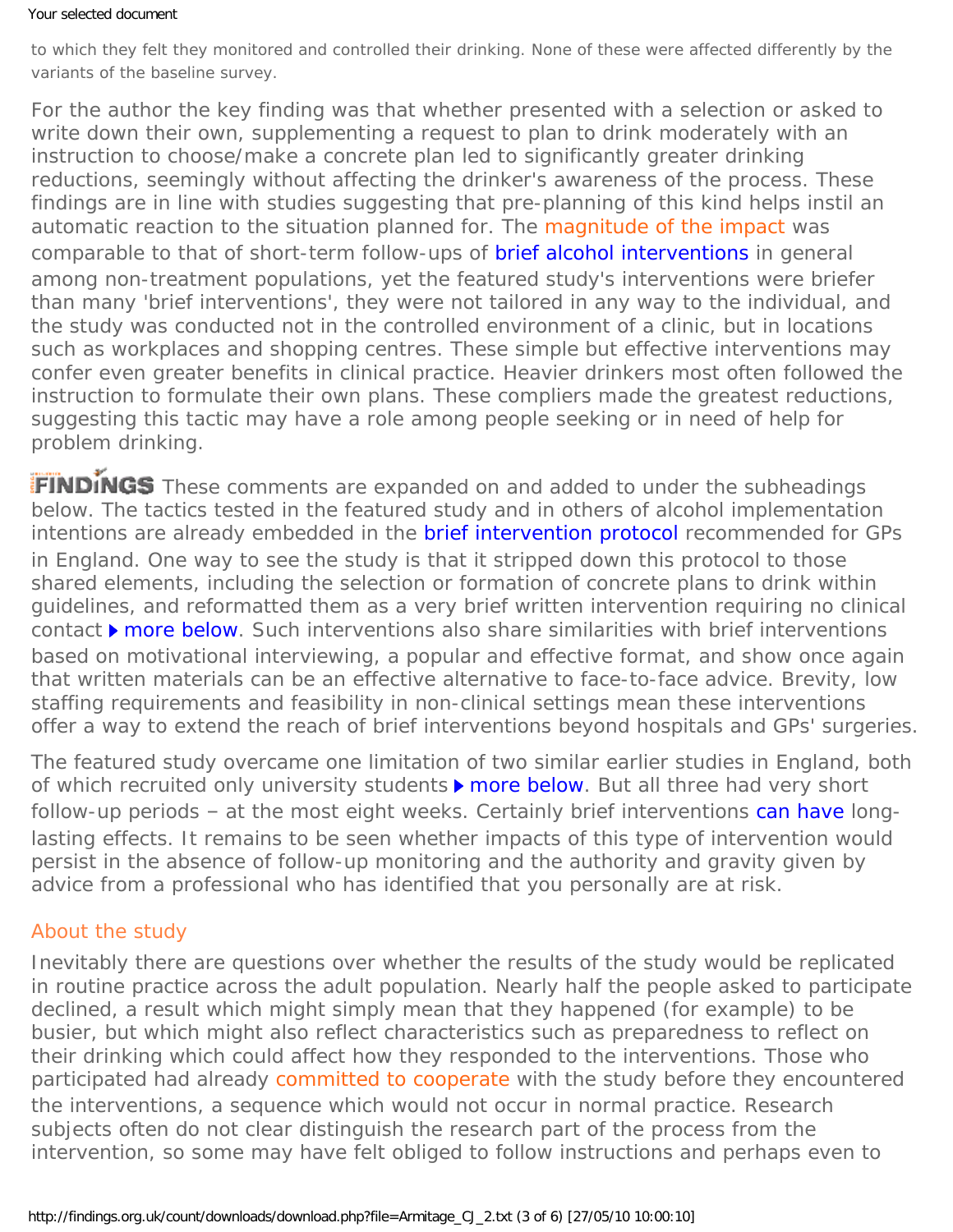to which they felt they monitored and controlled their drinking. None of these were affected differently by the variants of the baseline survey.

For the author the key finding was that whether presented with a selection or asked to write down their own, supplementing a request to plan to drink moderately with an instruction to choose/make a concrete plan led to significantly greater drinking reductions, seemingly without affecting the drinker's awareness of the process. These findings are in line with studies suggesting that pre-planning of this kind helps instil an automatic reaction to the situation planned for. The [magnitude of the impact](#page-0-0) was comparable to that of short-term follow-ups of [brief alcohol interventions](http://dx.doi.org/10.1046/j.1360-0443.2002.00018.x) in general among non-treatment populations, yet the featured study's interventions were briefer than many 'brief interventions', they were not tailored in any way to the individual, and the study was conducted not in the controlled environment of a clinic, but in locations such as workplaces and shopping centres. These simple but effective interventions may confer even greater benefits in clinical practice. Heavier drinkers most often followed the instruction to formulate their own plans. These compliers made the greatest reductions, suggesting this tactic may have a role among people seeking or in need of help for problem drinking.

FINDINGS These comments are expanded on and added to under the subheadings below. The tactics tested in the featured study and in others of alcohol implementation intentions are already embedded in the **brief intervention protocol** recommended for GPs in England. One way to see the study is that it stripped down this protocol to those shared elements, including the selection or formation of concrete plans to drink within guidelines, and reformatted them as a *very* brief written intervention requiring no clinical contact*[more below](#page-3-0)*. Such interventions also share similarities with brief interventions based on motivational interviewing, a popular and effective format, and show once again that written materials can be an effective alternative to face-to-face advice. Brevity, low staffing requirements and feasibility in non-clinical settings mean these interventions offer a way to extend the reach of brief interventions beyond hospitals and GPs' surgeries.

The featured study overcame one limitation of two similar earlier studies in England, both of which recruited only university students*[more below](#page-3-1)*. But all three had very short follow-up periods – at the most eight weeks. Certainly brief interventions [can have](https://findings.org.uk/topic_results.php?allCodes%5B%5D=M6.1x+screening+briefx+%21seeking&othfeat%5B%5D=persistence) longlasting effects. It remains to be seen whether impacts of this type of intervention would persist in the absence of follow-up monitoring and the authority and gravity given by advice from a professional who has identified that you personally are at risk.

## About the study

Inevitably there are questions over whether the results of the study would be replicated in routine practice across the adult population. Nearly half the people asked to participate declined, a result which might simply mean that they happened (for example) to be busier, but which might also reflect characteristics such as preparedness to reflect on their drinking which could affect how they responded to the interventions. Those who participated had already [committed to cooperate](#page-0-0) with the study before they encountered the interventions, a sequence which would not occur in normal practice. Research subjects often do not clear distinguish the research part of the process from the intervention, so some may have felt obliged to follow instructions and perhaps even to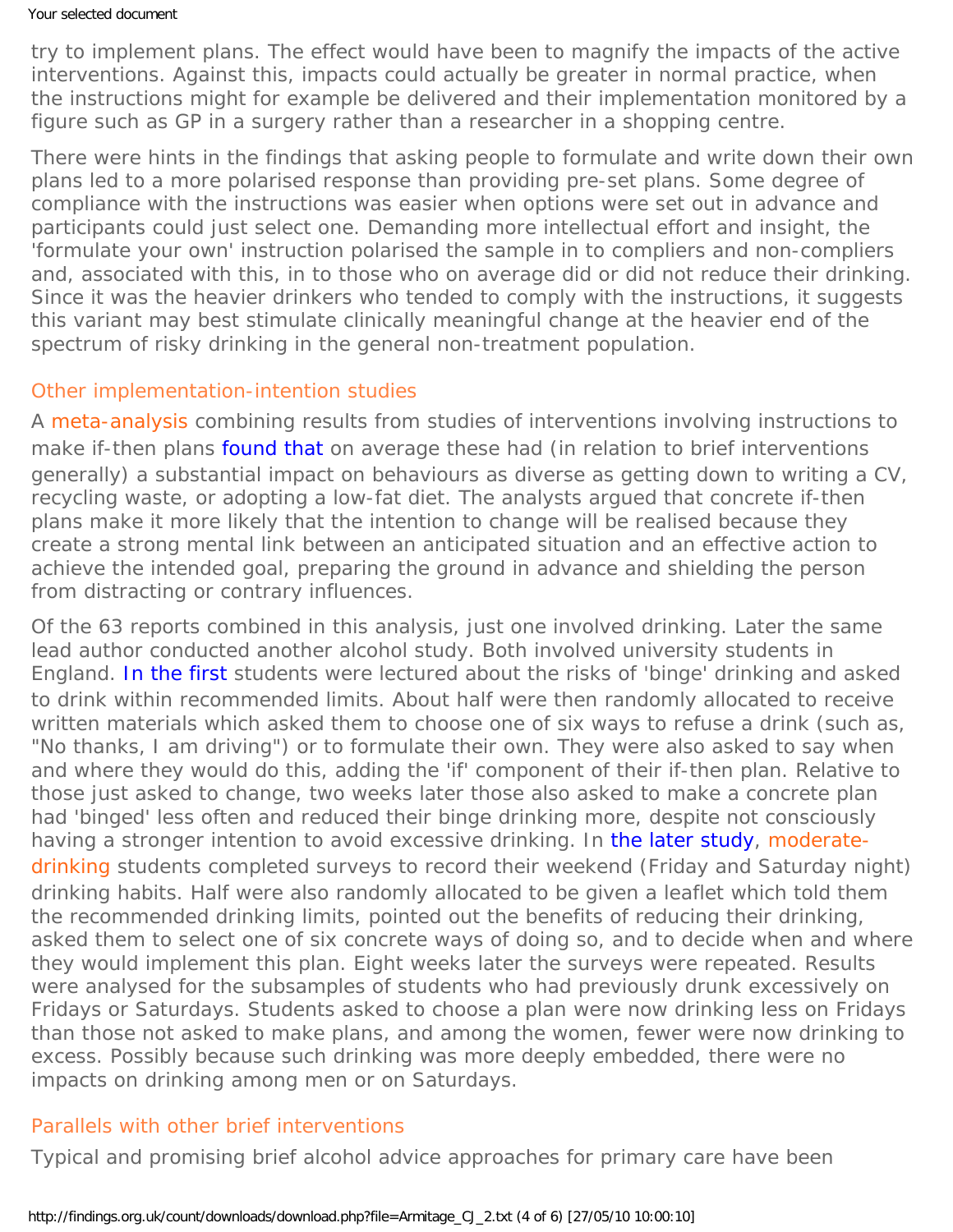try to implement plans. The effect would have been to magnify the impacts of the active interventions. Against this, impacts could actually be greater in normal practice, when the instructions might for example be delivered and their implementation monitored by a figure such as GP in a surgery rather than a researcher in a shopping centre.

There were hints in the findings that asking people to formulate and write down their own plans led to a more polarised response than providing pre-set plans. Some degree of compliance with the instructions was easier when options were set out in advance and participants could just select one. Demanding more intellectual effort and insight, the 'formulate your own' instruction polarised the sample in to compliers and non-compliers and, associated with this, in to those who on average did or did not reduce their drinking. Since it was the heavier drinkers who tended to comply with the instructions, it suggests this variant may best stimulate clinically meaningful change at the heavier end of the spectrum of risky drinking in the general non-treatment population.

### <span id="page-3-1"></span>Other implementation-intention studies

A [meta-analysis](#page-0-0) combining results from studies of interventions involving instructions to make if-then plans [found that](http://dx.doi.org/10.1016/S0065-2601(06)38002-1) on average these had (in relation to brief interventions generally) a substantial impact on behaviours as diverse as getting down to writing a CV, recycling waste, or adopting a low-fat diet. The analysts argued that concrete if-then plans make it more likely that the intention to change will be realised because they create a strong mental link between an anticipated situation and an effective action to achieve the intended goal, preparing the ground in advance and shielding the person from distracting or contrary influences.

Of the 63 reports combined in this analysis, just one involved drinking. Later the same lead author conducted another alcohol study. Both involved university students in England. [In the first](http://alcalc.oxfordjournals.org/cgi/content/abstract/31/6/577) students were lectured about the risks of 'binge' drinking and asked to drink within recommended limits. About half were then randomly allocated to receive written materials which asked them to choose one of six ways to refuse a drink (such as, "No thanks, I am driving") or to formulate their own. They were also asked to say when and where they would do this, adding the 'if' component of their if-then plan. Relative to those just asked to change, two weeks later those also asked to make a concrete plan had 'binged' less often and reduced their binge drinking more, despite not consciously having a stronger intention to avoid excessive drinking. In [the later study,](http://dx.doi.org/10.1093/alcalc/agl083) [moderate](#page-0-0)[drinking](#page-0-0) students completed surveys to record their weekend (Friday and Saturday night) drinking habits. Half were also randomly allocated to be given a leaflet which told them the recommended drinking limits, pointed out the benefits of reducing their drinking, asked them to select one of six concrete ways of doing so, and to decide when and where they would implement this plan. Eight weeks later the surveys were repeated. Results were analysed for the subsamples of students who had previously drunk excessively on Fridays or Saturdays. Students asked to choose a plan were now drinking less on Fridays than those not asked to make plans, and among the women, fewer were now drinking to excess. Possibly because such drinking was more deeply embedded, there were no impacts on drinking among men or on Saturdays.

### <span id="page-3-0"></span>Parallels with other brief interventions

Typical and promising brief alcohol advice approaches for primary care have been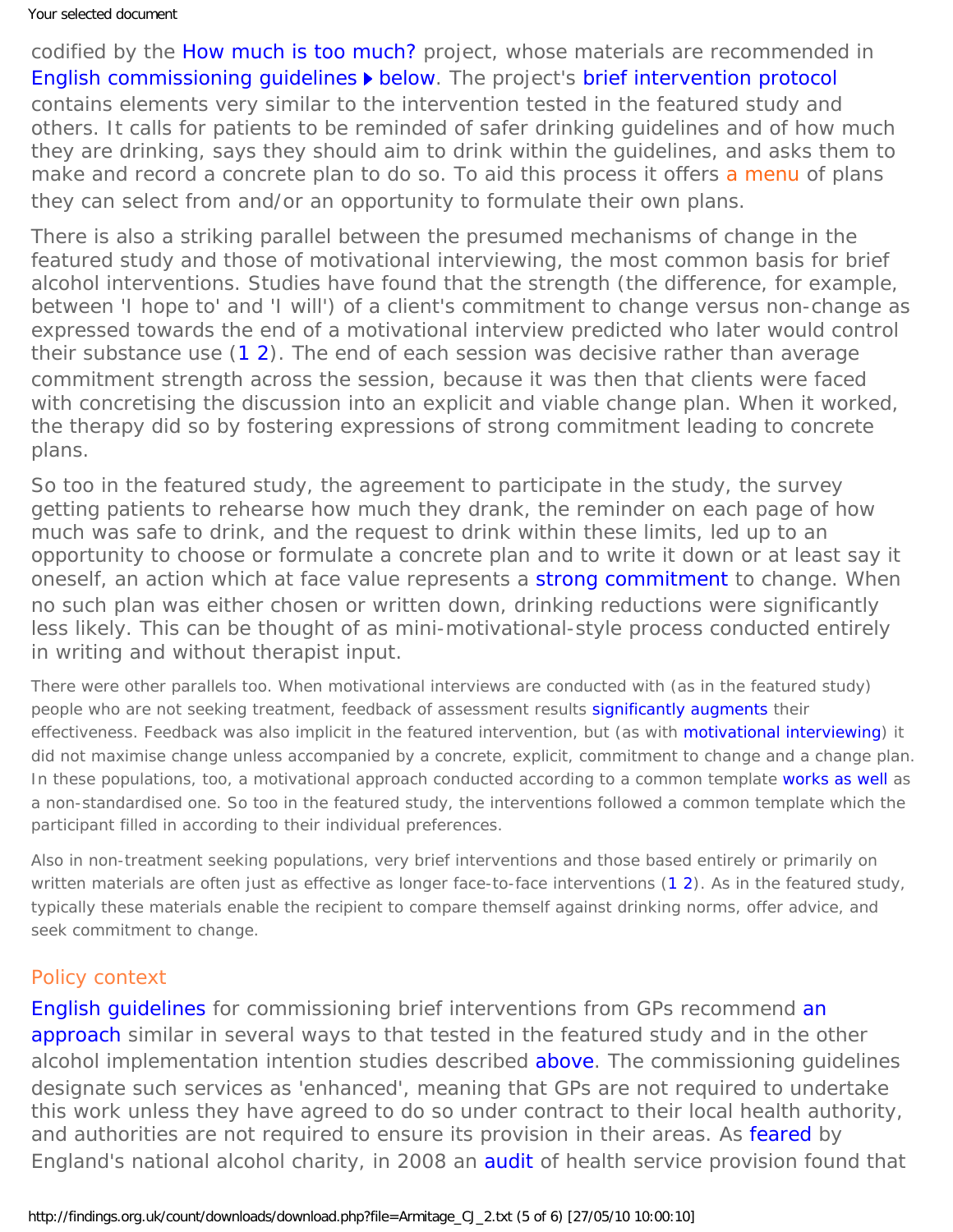codified by the [How much is too much?](http://www.ncl.ac.uk/ihs/news/item/?brief-interventions-alcohol-and-health-improvement) project, whose materials are recommended in [English commissioning guidelines](http://www.primarycarecontracting.nhs.uk/uploads/primary_care_service_frameworks/primary_care_service_framework_-_alcohol_v9_final.pdf) **b** [below](#page-4-0). The project's [brief intervention protocol](http://www.ncl.ac.uk/ihs/assets/pdfs/hmitm/level1simplebriefintervention.pdf) contains elements very similar to the intervention tested in the featured study and others. It calls for patients to be reminded of safer drinking guidelines and of how much they are drinking, says they should aim to drink within the guidelines, and asks them to make and record a concrete plan to do so. To aid this process it offers [a menu](#page-0-0) of plans they can select from and/or an opportunity to formulate their own plans.

There is also a striking parallel between the presumed mechanisms of change in the featured study and those of motivational interviewing, the most common basis for brief alcohol interventions. Studies have found that the strength (the difference, for example, between 'I hope to' and 'I will') of a client's commitment to change versus non-change as expressed towards the end of a motivational interview predicted who later would control their substance use ([1](https://findings.org.uk/count/downloads/download.php?file=Ashton_M_33.pdf) [2](http://dx.doi.org/10.1037/a0016830)). The end of each session was decisive rather than average commitment strength across the session, because it was then that clients were faced with concretising the discussion into an explicit and viable change plan. When it worked, the therapy did so by fostering expressions of strong commitment leading to concrete plans.

So too in the featured study, the agreement to participate in the study, the survey getting patients to rehearse how much they drank, the reminder on each page of how much was safe to drink, and the request to drink within these limits, led up to an opportunity to choose or formulate a concrete plan and to write it down or at least say it oneself, an action which at face value represents a [strong commitment](http://dx.doi.org/10.1016/S0065-2601(06)38002-1) to change. When no such plan was either chosen or written down, drinking reductions were significantly less likely. This can be thought of as mini-motivational-style process conducted entirely in writing and without therapist input.

There were other parallels too. When motivational interviews are conducted with (as in the featured study) people who are not seeking treatment, feedback of assessment results [significantly augments](https://findings.org.uk/count/downloads/download.php?file=Lundahl_B_2.txt) their effectiveness. Feedback was also implicit in the featured intervention, but (as with [motivational interviewing](https://findings.org.uk/count/downloads/download.php?file=Walters_ST_9.txt)) it did not maximise change unless accompanied by a concrete, explicit, commitment to change and a change plan. In these populations, too, a motivational approach conducted according to a common template [works as well](https://findings.org.uk/count/downloads/download.php?file=Lundahl_B_2.txt) as a non-standardised one. So too in the featured study, the interventions followed a common template which the participant filled in according to their individual preferences.

Also in non-treatment seeking populations, very brief interventions and those based entirely or primarily on written materials are often just as effective as longer face-to-face interventions [\(1](https://findings.org.uk/count/downloads/download.php?file=BI_ward.nug)[2](https://findings.org.uk/count/downloads/download.php?file=nug_6_9.pdf)). As in the featured study, typically these materials enable the recipient to compare themself against drinking norms, offer advice, and seek commitment to change.

### <span id="page-4-0"></span>Policy context

English quidelines for commissioning brief interventions from GPs recommend [an](http://www.ncl.ac.uk/ihs/news/item/?brief-interventions-alcohol-and-health-improvement) [approach](http://www.ncl.ac.uk/ihs/news/item/?brief-interventions-alcohol-and-health-improvement) similar in several ways to that tested in the featured study and in the other alcohol implementation intention studies described *[above](#page-3-0)*. The commissioning guidelines designate such services as 'enhanced', meaning that GPs are not required to undertake this work unless they have agreed to do so under contract to their local health authority, and authorities are not required to ensure its provision in their areas. As [feared](http://www.edact.org/pub_docs/Addressing_Alcohol_Through_The_New_GP_Contract.pdf) by England's national alcohol charity, in 2008 an [audit](https://findings.org.uk/count/downloads/download.php?file=NAO_2.txt) of health service provision found that